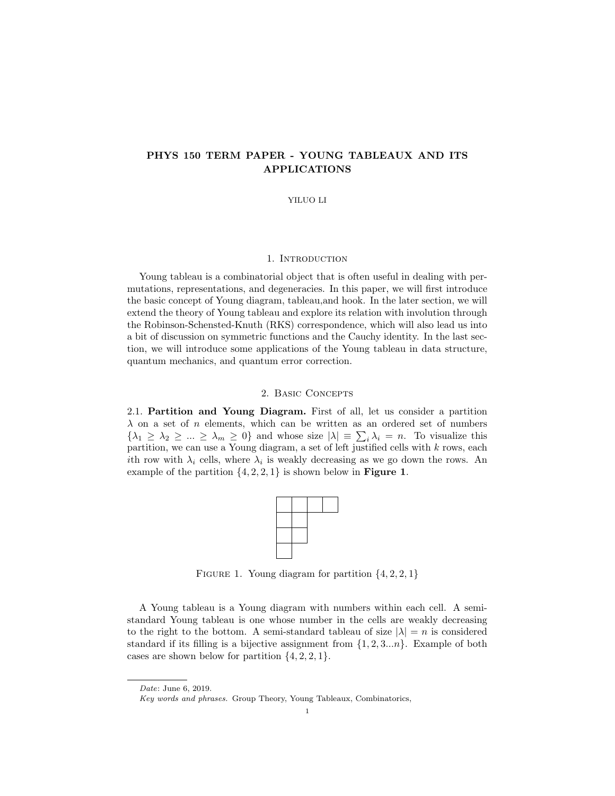# PHYS 150 TERM PAPER - YOUNG TABLEAUX AND ITS APPLICATIONS

#### YILUO LI

## 1. INTRODUCTION

Young tableau is a combinatorial object that is often useful in dealing with permutations, representations, and degeneracies. In this paper, we will first introduce the basic concept of Young diagram, tableau,and hook. In the later section, we will extend the theory of Young tableau and explore its relation with involution through the Robinson-Schensted-Knuth (RKS) correspondence, which will also lead us into a bit of discussion on symmetric functions and the Cauchy identity. In the last section, we will introduce some applications of the Young tableau in data structure, quantum mechanics, and quantum error correction.

### 2. Basic Concepts

2.1. Partition and Young Diagram. First of all, let us consider a partition  $\lambda$  on a set of n elements, which can be written as an ordered set of numbers  $\{\lambda_1 \geq \lambda_2 \geq \ldots \geq \lambda_m \geq 0\}$  and whose size  $|\lambda| = \sum_i \lambda_i = n$ . To visualize this partition, we can use a Young diagram, a set of left justified cells with k rows, each *i*th row with  $\lambda_i$  cells, where  $\lambda_i$  is weakly decreasing as we go down the rows. An example of the partition  $\{4, 2, 2, 1\}$  is shown below in **Figure 1.** 



FIGURE 1. Young diagram for partition  $\{4, 2, 2, 1\}$ 

A Young tableau is a Young diagram with numbers within each cell. A semistandard Young tableau is one whose number in the cells are weakly decreasing to the right to the bottom. A semi-standard tableau of size  $|\lambda| = n$  is considered standard if its filling is a bijective assignment from  $\{1, 2, 3...n\}$ . Example of both cases are shown below for partition  $\{4, 2, 2, 1\}.$ 

Date: June 6, 2019.

Key words and phrases. Group Theory, Young Tableaux, Combinatorics,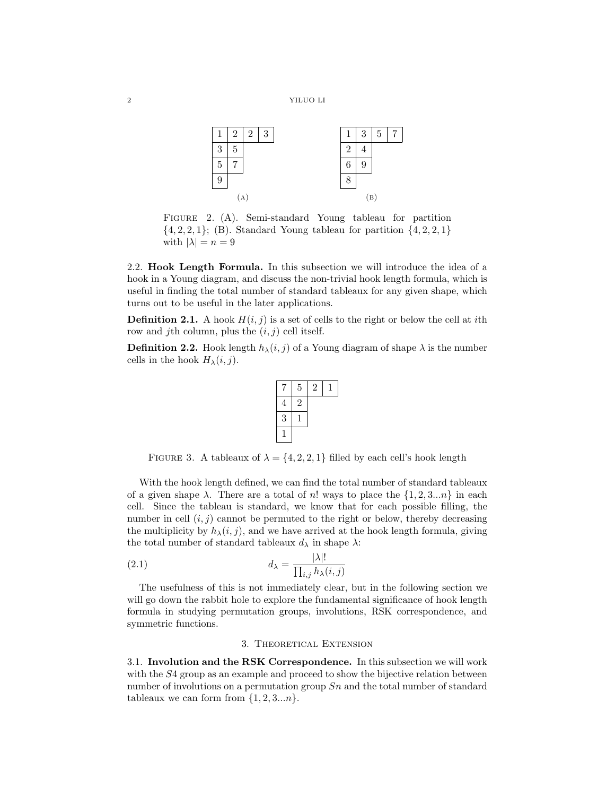

FIGURE 2. (A). Semi-standard Young tableau for partition  $\{4, 2, 2, 1\};$  (B). Standard Young tableau for partition  $\{4, 2, 2, 1\}$ with  $|\lambda| = n = 9$ 

2.2. Hook Length Formula. In this subsection we will introduce the idea of a hook in a Young diagram, and discuss the non-trivial hook length formula, which is useful in finding the total number of standard tableaux for any given shape, which turns out to be useful in the later applications.

**Definition 2.1.** A hook  $H(i, j)$  is a set of cells to the right or below the cell at *i*th row and jth column, plus the  $(i, j)$  cell itself.

**Definition 2.2.** Hook length  $h_{\lambda}(i, j)$  of a Young diagram of shape  $\lambda$  is the number cells in the hook  $H_{\lambda}(i, j)$ .



FIGURE 3. A tableaux of  $\lambda = \{4, 2, 2, 1\}$  filled by each cell's hook length

With the hook length defined, we can find the total number of standard tableaux of a given shape  $\lambda$ . There are a total of n! ways to place the  $\{1, 2, 3...n\}$  in each cell. Since the tableau is standard, we know that for each possible filling, the number in cell  $(i, j)$  cannot be permuted to the right or below, thereby decreasing the multiplicity by  $h_{\lambda}(i, j)$ , and we have arrived at the hook length formula, giving the total number of standard tableaux  $d_{\lambda}$  in shape  $\lambda$ :

(2.1) 
$$
d_{\lambda} = \frac{|\lambda|!}{\prod_{i,j} h_{\lambda}(i,j)}
$$

The usefulness of this is not immediately clear, but in the following section we will go down the rabbit hole to explore the fundamental significance of hook length formula in studying permutation groups, involutions, RSK correspondence, and symmetric functions.

#### 3. Theoretical Extension

3.1. Involution and the RSK Correspondence. In this subsection we will work with the  $S4$  group as an example and proceed to show the bijective relation between number of involutions on a permutation group  $Sn$  and the total number of standard tableaux we can form from  $\{1, 2, 3...n\}$ .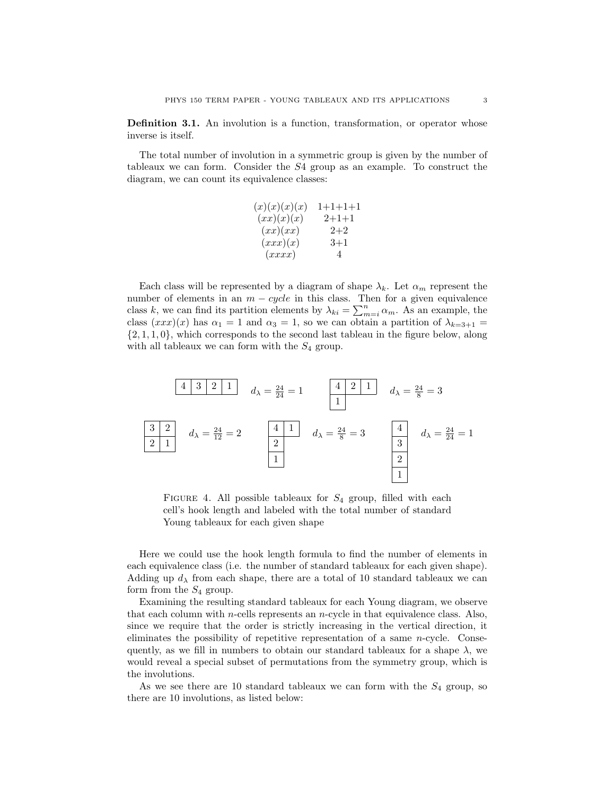Definition 3.1. An involution is a function, transformation, or operator whose inverse is itself.

The total number of involution in a symmetric group is given by the number of tableaux we can form. Consider the S4 group as an example. To construct the diagram, we can count its equivalence classes:

| (x)(x)(x)(x) | 1+1+1+1        |
|--------------|----------------|
| (xx)(x)(x)   | $2+1+1$        |
| (xx)(xx)     | $2 + 2$        |
| (xx)(x)      | $^{3+1}$       |
| (xxxx)       | $\overline{4}$ |

Each class will be represented by a diagram of shape  $\lambda_k$ . Let  $\alpha_m$  represent the number of elements in an  $m - cycle$  in this class. Then for a given equivalence class k, we can find its partition elements by  $\lambda_{ki} = \sum_{m=i}^{n} \alpha_m$ . As an example, the class  $(xxx)(x)$  has  $\alpha_1 = 1$  and  $\alpha_3 = 1$ , so we can obtain a partition of  $\lambda_{k=3+1} =$  $\{2, 1, 1, 0\}$ , which corresponds to the second last tableau in the figure below, along with all tableaux we can form with the  $S_4$  group.

4 3 2 1 d<sup>λ</sup> = 24 <sup>24</sup> = 1 <sup>4</sup> <sup>2</sup> <sup>1</sup> 1 d<sup>λ</sup> = 24 <sup>8</sup> = 3 3 2 2 1 d<sup>λ</sup> = 24 <sup>12</sup> = 2 <sup>4</sup> <sup>1</sup> 2 1 d<sup>λ</sup> = 24 <sup>8</sup> = 3 <sup>4</sup> 3 2 1 d<sup>λ</sup> = 24 <sup>24</sup> = 1

FIGURE 4. All possible tableaux for  $S_4$  group, filled with each cell's hook length and labeled with the total number of standard Young tableaux for each given shape

Here we could use the hook length formula to find the number of elements in each equivalence class (i.e. the number of standard tableaux for each given shape). Adding up  $d<sub>\lambda</sub>$  from each shape, there are a total of 10 standard tableaux we can form from the  $S_4$  group.

Examining the resulting standard tableaux for each Young diagram, we observe that each column with *n*-cells represents an *n*-cycle in that equivalence class. Also, since we require that the order is strictly increasing in the vertical direction, it eliminates the possibility of repetitive representation of a same n-cycle. Consequently, as we fill in numbers to obtain our standard tableaux for a shape  $\lambda$ , we would reveal a special subset of permutations from the symmetry group, which is the involutions.

As we see there are 10 standard tableaux we can form with the  $S_4$  group, so there are 10 involutions, as listed below: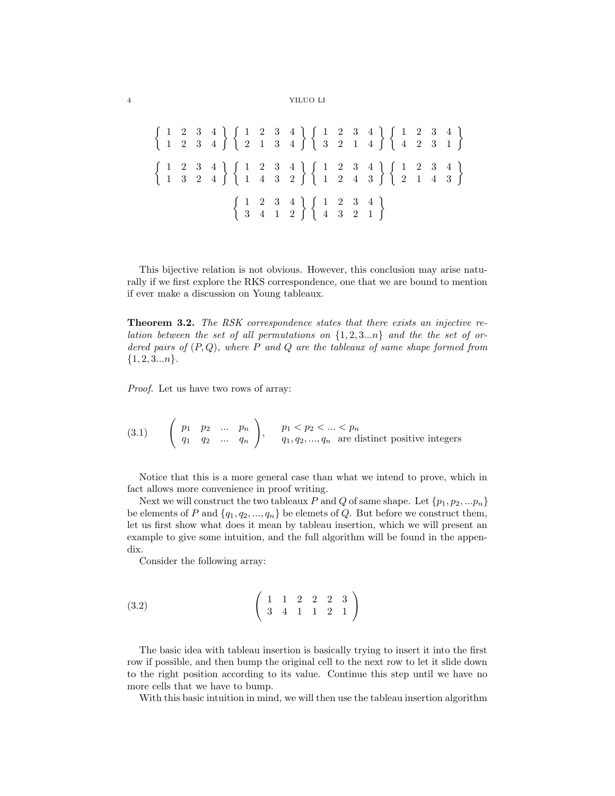#### 4 YILUO LI

 $\left\{\n\begin{array}{ccc|ccc}\n1 & 2 & 3 & 4 \\
1 & 2 & 3 & 4\n\end{array}\n\right\}\n\left\{\n\begin{array}{ccc|ccc}\n1 & 2 & 3 & 4 \\
2 & 1 & 3 & 4\n\end{array}\n\right\}\n\left\{\n\begin{array}{ccc|ccc}\n1 & 2 & 3 & 4 \\
3 & 2 & 1 & 4\n\end{array}\n\right\}\n\left\{\n\begin{array}{ccc|ccc}\n1 & 2 & 3 & 4 \\
4 & 2 & 3 & 1\n\end{array}\n\right\}$  $\left\{\n\begin{array}{ccc|ccc}\n1 & 2 & 3 & 4 \\
1 & 3 & 2 & 4\n\end{array}\n\right\}\n\left\{\n\begin{array}{ccc|ccc}\n1 & 2 & 3 & 4 \\
1 & 4 & 3 & 2\n\end{array}\n\right\}\n\left\{\n\begin{array}{ccc|ccc}\n1 & 2 & 3 & 4 \\
1 & 2 & 4 & 3\n\end{array}\n\right\}\n\left\{\n\begin{array}{ccc|ccc}\n1 & 2 & 3 & 4 \\
2 & 1 & 4 & 3\n\end{array}\n\right\}$  $\left\{\n\begin{array}{ccc|ccc}\n1 & 2 & 3 & 4 \\
3 & 4 & 1 & 2\n\end{array}\n\right\}\n\left\{\n\begin{array}{ccc}\n1 & 2 & 3 & 4 \\
4 & 3 & 2 & 1\n\end{array}\n\right\}$ 

This bijective relation is not obvious. However, this conclusion may arise naturally if we first explore the RKS correspondence, one that we are bound to mention if ever make a discussion on Young tableaux.

**Theorem 3.2.** The RSK correspondence states that there exists an injective relation between the set of all permutations on  $\{1, 2, 3...n\}$  and the the set of ordered pairs of  $(P,Q)$ , where P and Q are the tableaux of same shape formed from  ${1, 2, 3...n}.$ 

Proof. Let us have two rows of array:

$$
(3.1) \qquad \begin{pmatrix} p_1 & p_2 & \dots & p_n \\ q_1 & q_2 & \dots & q_n \end{pmatrix}, \qquad p_1 < p_2 < \dots < p_n
$$
\n
$$
q_1, q_2, \dots, q_n \text{ are distinct positive integers}
$$

Notice that this is a more general case than what we intend to prove, which in fact allows more convenience in proof writing.

Next we will construct the two tableaux P and Q of same shape. Let  $\{p_1, p_2, ... p_n\}$ be elements of P and  $\{q_1, q_2, ..., q_n\}$  be elemets of Q. But before we construct them, let us first show what does it mean by tableau insertion, which we will present an example to give some intuition, and the full algorithm will be found in the appendix.

Consider the following array:

$$
(3.2) \qquad \qquad \begin{pmatrix} 1 & 1 & 2 & 2 & 2 & 3 \\ 3 & 4 & 1 & 1 & 2 & 1 \end{pmatrix}
$$

The basic idea with tableau insertion is basically trying to insert it into the first row if possible, and then bump the original cell to the next row to let it slide down to the right position according to its value. Continue this step until we have no more cells that we have to bump.

With this basic intuition in mind, we will then use the tableau insertion algorithm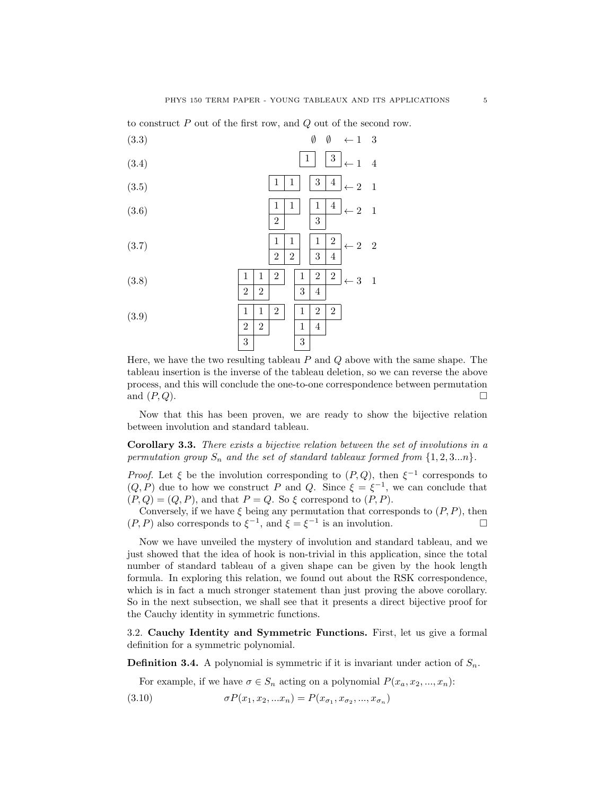to construct P out of the first row, and Q out of the second row.

$$
\begin{array}{cccc}\n(3.3) & \emptyset & \emptyset & \leftarrow 1 & 3 \\
(3.4) & & \boxed{1} & \boxed{3} & \leftarrow 1 & 4\n\end{array}
$$

- $(3.5)$   $\boxed{1 \mid 1 \mid 3 \mid 4}_{\leftarrow 2 \mid 1}$
- $1 \mid 1$ 2 1 4 3  $(3.6)$   $\frac{1}{1}$   $\frac{1}{1}$   $\frac{1}{2}$   $\leftarrow$  2 1

$$
(3.7) \quad \frac{1}{2} \quad \frac{1}{3} \quad \frac{1}{4} \leftarrow 2 \quad 2
$$

$$
(3.8) \qquad \qquad \frac{1}{2} \quad \frac{1}{2} \quad \frac{1}{3} \quad \frac{2}{4} \qquad \qquad 3 \quad 1
$$

1 1 2 2 2 3 1 2 2 1 4 3 (3.9)

Here, we have the two resulting tableau  $P$  and  $Q$  above with the same shape. The tableau insertion is the inverse of the tableau deletion, so we can reverse the above process, and this will conclude the one-to-one correspondence between permutation and  $(P,Q)$ .

Now that this has been proven, we are ready to show the bijective relation between involution and standard tableau.

Corollary 3.3. There exists a bijective relation between the set of involutions in a permutation group  $S_n$  and the set of standard tableaux formed from  $\{1, 2, 3...n\}$ .

*Proof.* Let  $\xi$  be the involution corresponding to  $(P,Q)$ , then  $\xi^{-1}$  corresponds to  $(Q, P)$  due to how we construct P and Q. Since  $\xi = \xi^{-1}$ , we can conclude that  $(P,Q) = (Q, P)$ , and that  $P = Q$ . So  $\xi$  correspond to  $(P, P)$ .

Conversely, if we have  $\xi$  being any permutation that corresponds to  $(P, P)$ , then  $(P, P)$  also corresponds to  $\xi^{-1}$ , and  $\xi = \xi^{-1}$  is an involution.

Now we have unveiled the mystery of involution and standard tableau, and we just showed that the idea of hook is non-trivial in this application, since the total number of standard tableau of a given shape can be given by the hook length formula. In exploring this relation, we found out about the RSK correspondence, which is in fact a much stronger statement than just proving the above corollary. So in the next subsection, we shall see that it presents a direct bijective proof for the Cauchy identity in symmetric functions.

3.2. Cauchy Identity and Symmetric Functions. First, let us give a formal definition for a symmetric polynomial.

**Definition 3.4.** A polynomial is symmetric if it is invariant under action of  $S_n$ .

For example, if we have  $\sigma \in S_n$  acting on a polynomial  $P(x_a, x_2, ..., x_n)$ :

(3.10)  $\sigma P(x_1, x_2, ... x_n) = P(x_{\sigma_1}, x_{\sigma_2}, ..., x_{\sigma_n})$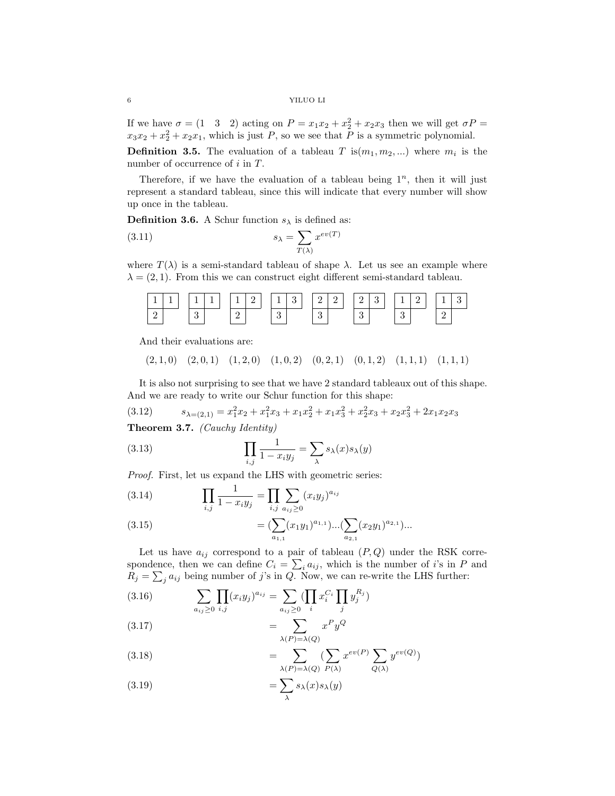If we have  $\sigma = (1 \quad 3 \quad 2)$  acting on  $P = x_1x_2 + x_2^2 + x_2x_3$  then we will get  $\sigma P =$  $x_3x_2 + x_2^2 + x_2x_1$ , which is just P, so we see that P is a symmetric polynomial.

**Definition 3.5.** The evaluation of a tableau T is $(m_1, m_2, ...)$  where  $m_i$  is the number of occurrence of i in T.

Therefore, if we have the evaluation of a tableau being  $1^n$ , then it will just represent a standard tableau, since this will indicate that every number will show up once in the tableau.

**Definition 3.6.** A Schur function  $s_{\lambda}$  is defined as:

(3.11) 
$$
s_{\lambda} = \sum_{T(\lambda)} x^{ev(T)}
$$

where  $T(\lambda)$  is a semi-standard tableau of shape  $\lambda$ . Let us see an example where  $\lambda = (2, 1)$ . From this we can construct eight different semi-standard tableau.

|  | 111      |  | 112 |  |  |  |  |  |  | 13 22 23 123 12 |  | l 3 |  |
|--|----------|--|-----|--|--|--|--|--|--|-----------------|--|-----|--|
|  | $\Omega$ |  |     |  |  |  |  |  |  |                 |  |     |  |

And their evaluations are:

 $(2, 1, 0)$   $(2, 0, 1)$   $(1, 2, 0)$   $(1, 0, 2)$   $(0, 2, 1)$   $(0, 1, 2)$   $(1, 1, 1)$   $(1, 1, 1)$ 

It is also not surprising to see that we have 2 standard tableaux out of this shape. And we are ready to write our Schur function for this shape:

(3.12) 
$$
s_{\lambda=(2,1)} = x_1^2 x_2 + x_1^2 x_3 + x_1 x_2^2 + x_1 x_3^2 + x_2^2 x_3 + x_2 x_3^2 + 2 x_1 x_2 x_3
$$

Theorem 3.7. (Cauchy Identity)

(3.13) 
$$
\prod_{i,j} \frac{1}{1 - x_i y_j} = \sum_{\lambda} s_{\lambda}(x) s_{\lambda}(y)
$$

Proof. First, let us expand the LHS with geometric series:

(3.14) 
$$
\prod_{i,j} \frac{1}{1 - x_i y_j} = \prod_{i,j} \sum_{a_{ij} \ge 0} (x_i y_j)^{a_{ij}}
$$

(3.15) 
$$
= (\sum_{a_{1,1}} (x_1 y_1)^{a_{1,1}}) \dots (\sum_{a_{2,1}} (x_2 y_1)^{a_{2,1}}) \dots
$$

Let us have  $a_{ij}$  correspond to a pair of tableau  $(P,Q)$  under the RSK correspondence, then we can define  $C_i = \sum_i a_{ij}$ , which is the number of *i*'s in P and  $R_j = \sum_j a_{ij}$  being number of j's in Q. Now, we can re-write the LHS further:

(3.16) 
$$
\sum_{a_{ij}\geq 0} \prod_{i,j} (x_i y_j)^{a_{ij}} = \sum_{a_{ij}\geq 0} (\prod_i x_i^{C_i} \prod_j y_j^{R_j})
$$

$$
(3.17)\qquad \qquad =\sum_{\lambda(P)=\lambda(Q)}x^Py^Q
$$

(3.18) 
$$
= \sum_{\lambda(P)=\lambda(Q)} \left(\sum_{P(\lambda)} x^{ev(P)} \sum_{Q(\lambda)} y^{ev(Q)}\right)
$$

(3.19) 
$$
= \sum_{\lambda} s_{\lambda}(x) s_{\lambda}(y)
$$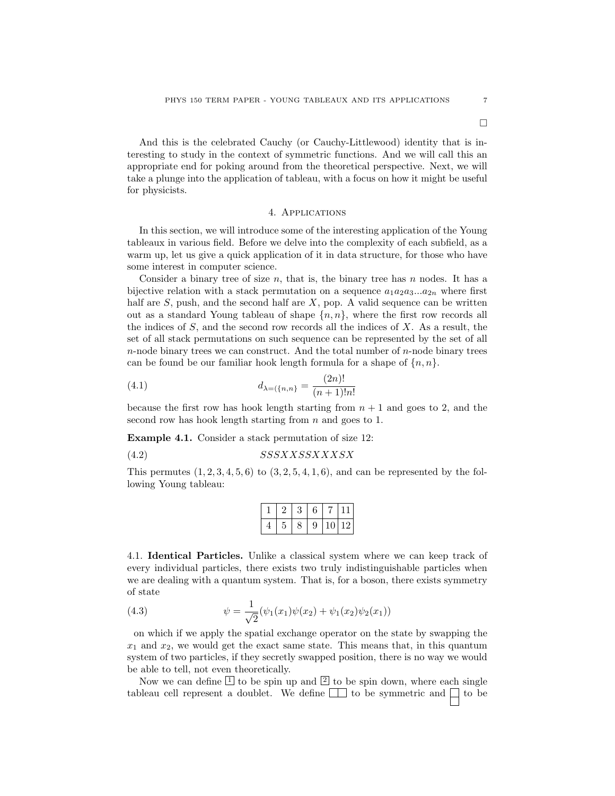And this is the celebrated Cauchy (or Cauchy-Littlewood) identity that is interesting to study in the context of symmetric functions. And we will call this an appropriate end for poking around from the theoretical perspective. Next, we will take a plunge into the application of tableau, with a focus on how it might be useful for physicists.

#### 4. Applications

In this section, we will introduce some of the interesting application of the Young tableaux in various field. Before we delve into the complexity of each subfield, as a warm up, let us give a quick application of it in data structure, for those who have some interest in computer science.

Consider a binary tree of size  $n$ , that is, the binary tree has  $n$  nodes. It has a bijective relation with a stack permutation on a sequence  $a_1a_2a_3...a_{2n}$  where first half are  $S$ , push, and the second half are  $X$ , pop. A valid sequence can be written out as a standard Young tableau of shape  ${n, n}$ , where the first row records all the indices of S, and the second row records all the indices of X. As a result, the set of all stack permutations on such sequence can be represented by the set of all  $n$ -node binary trees we can construct. And the total number of  $n$ -node binary trees can be found be our familiar hook length formula for a shape of  $\{n, n\}$ .

(4.1) 
$$
d_{\lambda=(\{n,n\}} = \frac{(2n)!}{(n+1)!n!}
$$

because the first row has hook length starting from  $n + 1$  and goes to 2, and the second row has hook length starting from  $n$  and goes to 1.

Example 4.1. Consider a stack permutation of size 12:

$$
(4.2) \t\t SSSXXSSXXXXSX
$$

This permutes  $(1, 2, 3, 4, 5, 6)$  to  $(3, 2, 5, 4, 1, 6)$ , and can be represented by the following Young tableau:

|  |  | - 9 - | $110$  12 |  |
|--|--|-------|-----------|--|

4.1. Identical Particles. Unlike a classical system where we can keep track of every individual particles, there exists two truly indistinguishable particles when we are dealing with a quantum system. That is, for a boson, there exists symmetry of state

(4.3) 
$$
\psi = \frac{1}{\sqrt{2}} (\psi_1(x_1)\psi(x_2) + \psi_1(x_2)\psi_2(x_1))
$$

on which if we apply the spatial exchange operator on the state by swapping the  $x_1$  and  $x_2$ , we would get the exact same state. This means that, in this quantum system of two particles, if they secretly swapped position, there is no way we would be able to tell, not even theoretically.

Now we can define  $\boxed{1}$  to be spin up and  $\boxed{2}$  to be spin down, where each single tableau cell represent a doublet. We define  $\Box$  to be symmetric and  $\Box$  to be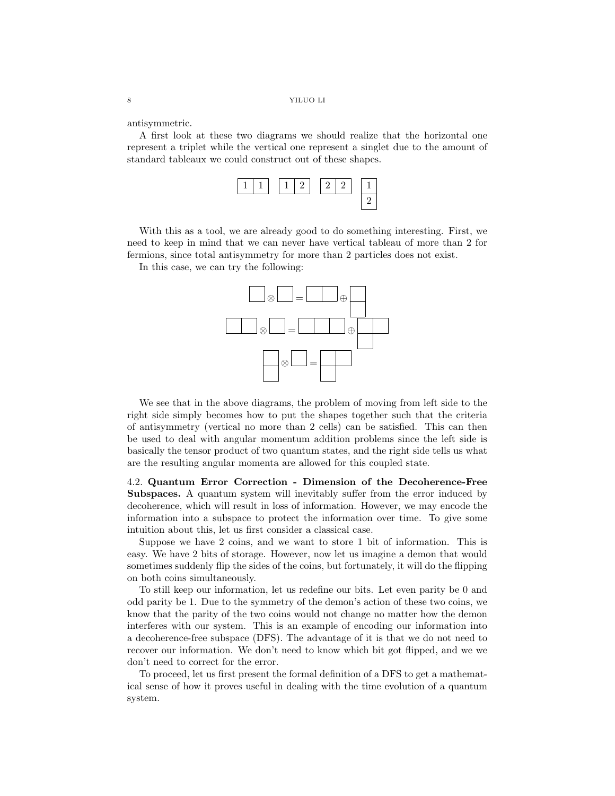antisymmetric.

A first look at these two diagrams we should realize that the horizontal one represent a triplet while the vertical one represent a singlet due to the amount of standard tableaux we could construct out of these shapes.



With this as a tool, we are already good to do something interesting. First, we need to keep in mind that we can never have vertical tableau of more than 2 for fermions, since total antisymmetry for more than 2 particles does not exist.

In this case, we can try the following:



We see that in the above diagrams, the problem of moving from left side to the right side simply becomes how to put the shapes together such that the criteria of antisymmetry (vertical no more than 2 cells) can be satisfied. This can then be used to deal with angular momentum addition problems since the left side is basically the tensor product of two quantum states, and the right side tells us what are the resulting angular momenta are allowed for this coupled state.

4.2. Quantum Error Correction - Dimension of the Decoherence-Free Subspaces. A quantum system will inevitably suffer from the error induced by decoherence, which will result in loss of information. However, we may encode the information into a subspace to protect the information over time. To give some intuition about this, let us first consider a classical case.

Suppose we have 2 coins, and we want to store 1 bit of information. This is easy. We have 2 bits of storage. However, now let us imagine a demon that would sometimes suddenly flip the sides of the coins, but fortunately, it will do the flipping on both coins simultaneously.

To still keep our information, let us redefine our bits. Let even parity be 0 and odd parity be 1. Due to the symmetry of the demon's action of these two coins, we know that the parity of the two coins would not change no matter how the demon interferes with our system. This is an example of encoding our information into a decoherence-free subspace (DFS). The advantage of it is that we do not need to recover our information. We don't need to know which bit got flipped, and we we don't need to correct for the error.

To proceed, let us first present the formal definition of a DFS to get a mathematical sense of how it proves useful in dealing with the time evolution of a quantum system.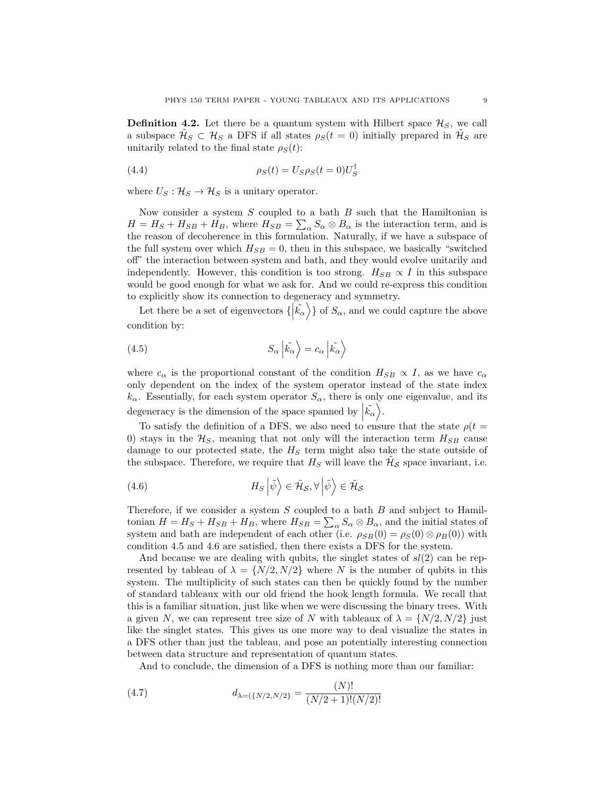**Definition 4.2.** Let there be a quantum system with Hilbert space  $\mathcal{H}_S$ , we call a subspace  $\tilde{\mathcal{H}}_S \subset \mathcal{H}_S$  a DFS if all states  $\rho_S(t=0)$  initially prepared in  $\tilde{\mathcal{H}}_S$  are unitarily related to the final state  $\rho_S(t)$ :

(4.4) 
$$
\rho_S(t) = U_S \rho_S(t=0) U_S^{\dagger}
$$

where  $U_S: \mathcal{H}_S \to \mathcal{H}_S$  is a unitary operator.

Now consider a system  $S$  coupled to a bath  $B$  such that the Hamiltonian is  $H = H_S + H_{SB} + H_B$ , where  $H_{SB} = \sum_{\alpha} S_{\alpha} \otimes B_{\alpha}$  is the interaction term, and is the reason of decoherence in this formulation. Naturally, if we have a subspace of the full system over which  $H_{SB} = 0$ , then in this subspace, we basically "switched" off" the interaction between system and bath, and they would evolve unitarily and independently. However, this condition is too strong.  $H_{SB} \propto I$  in this subspace would be good enough for what we ask for. And we could re-express this condition to explicitly show its connection to degeneracy and symmetry.

Let there be a set of eigenvectors  $\{\ket{\tilde{k}_{\alpha}}\}$  of  $S_{\alpha}$ , and we could capture the above condition by:

(4.5) 
$$
S_{\alpha} \left| \tilde{k_{\alpha}} \right\rangle = c_{\alpha} \left| \tilde{k_{\alpha}} \right\rangle
$$

where  $c_{\alpha}$  is the proportional constant of the condition  $H_{SB} \propto I$ , as we have  $c_{\alpha}$ only dependent on the index of the system operator instead of the state index  $k_{\alpha}$ . Essentially, for each system operator  $S_{\alpha}$ , there is only one eigenvalue, and its degeneracy is the dimension of the space spanned by  $|\tilde{k}_{\alpha}\rangle$ .

To satisfy the definition of a DFS, we also need to ensure that the state  $\rho(t =$ 0) stays in the  $\mathcal{H}_S$ , meaning that not only will the interaction term  $H_{SB}$  cause damage to our protected state, the  $H<sub>S</sub>$  term might also take the state outside of the subspace. Therefore, we require that  $H_S$  will leave the  $\tilde{H}_{\mathcal{S}}$  space invariant, i.e.

(4.6) 
$$
H_S \left| \tilde{\psi} \right\rangle \in \tilde{\mathcal{H}}_{\mathcal{S}}, \forall \left| \tilde{\psi} \right\rangle \in \tilde{\mathcal{H}}_{\mathcal{S}}
$$

Therefore, if we consider a system  $S$  coupled to a bath  $B$  and subject to Hamiltonian  $H = H_S + H_{SB} + H_B$ , where  $H_{SB} = \sum_{\alpha} S_{\alpha} \otimes B_{\alpha}$ , and the initial states of system and bath are independent of each other (i.e.  $\rho_{SB}(0) = \rho_S(0) \otimes \rho_B(0)$ ) with condition 4.5 and 4.6 are satisfied, then there exists a DFS for the system.

And because we are dealing with qubits, the singlet states of  $sl(2)$  can be represented by tableau of  $\lambda = \{N/2, N/2\}$  where N is the number of qubits in this system. The multiplicity of such states can then be quickly found by the number of standard tableaux with our old friend the hook length formula. We recall that this is a familiar situation, just like when we were discussing the binary trees. With a given N, we can represent tree size of N with tableaux of  $\lambda = \{N/2, N/2\}$  just like the singlet states. This gives us one more way to deal visualize the states in a DFS other than just the tableau, and pose an potentially interesting connection between data structure and representation of quantum states.

And to conclude, the dimension of a DFS is nothing more than our familiar:

(4.7) 
$$
d_{\lambda=(\{N/2,N/2\}} = \frac{(N)!}{(N/2+1)!(N/2)!}
$$